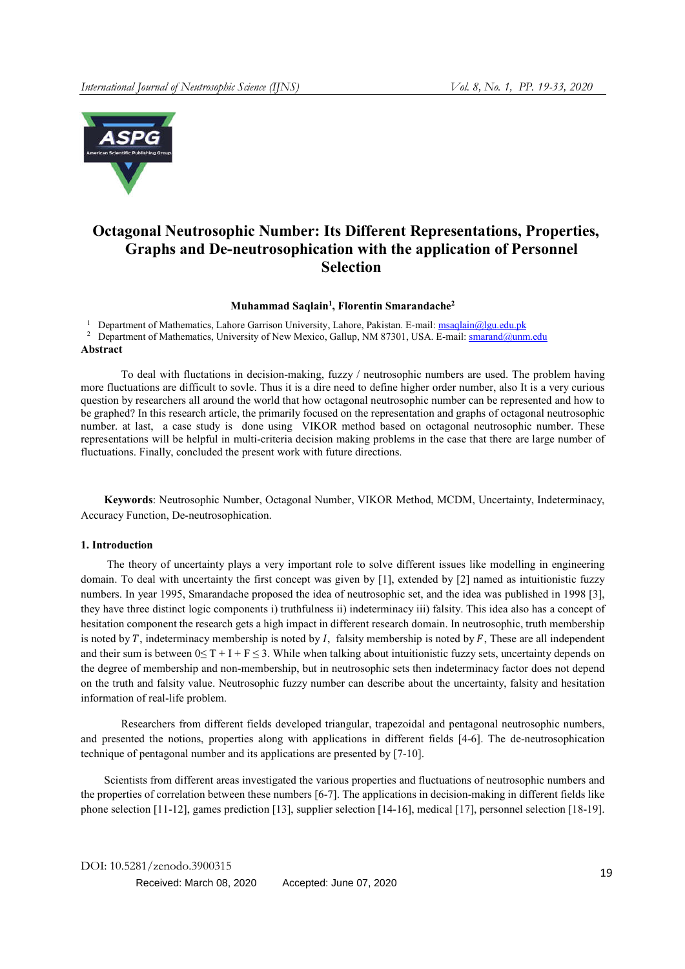

# Octagonal Neutrosophic Number: Its Different Representations, Properties, Graphs and De-neutrosophication with the application of Personnel Selection

#### Muhammad Saqlain<sup>1</sup>, Florentin Smarandache<sup>2</sup>

<sup>1</sup> Department of Mathematics, Lahore Garrison University, Lahore, Pakistan. E-mail: msaqlain@lgu.edu.pk

<sup>2</sup> Department of Mathematics, University of New Mexico, Gallup, NM 87301, USA. E-mail: smarand@unm.edu Abstract

To deal with fluctations in decision-making, fuzzy / neutrosophic numbers are used. The problem having more fluctuations are difficult to sovle. Thus it is a dire need to define higher order number, also It is a very curious question by researchers all around the world that how octagonal neutrosophic number can be represented and how to be graphed? In this research article, the primarily focused on the representation and graphs of octagonal neutrosophic number. at last, a case study is done using VIKOR method based on octagonal neutrosophic number. These representations will be helpful in multi-criteria decision making problems in the case that there are large number of fluctuations. Finally, concluded the present work with future directions.

Keywords: Neutrosophic Number, Octagonal Number, VIKOR Method, MCDM, Uncertainty, Indeterminacy, Accuracy Function, De-neutrosophication.

#### 1. Introduction

The theory of uncertainty plays a very important role to solve different issues like modelling in engineering domain. To deal with uncertainty the first concept was given by [1], extended by [2] named as intuitionistic fuzzy numbers. In year 1995, Smarandache proposed the idea of neutrosophic set, and the idea was published in 1998 [3], they have three distinct logic components i) truthfulness ii) indeterminacy iii) falsity. This idea also has a concept of hesitation component the research gets a high impact in different research domain. In neutrosophic, truth membership is noted by  $T$ , indeterminacy membership is noted by  $I$ , falsity membership is noted by  $F$ , These are all independent and their sum is between  $0 \leq T + I + F \leq 3$ . While when talking about intuitionistic fuzzy sets, uncertainty depends on the degree of membership and non-membership, but in neutrosophic sets then indeterminacy factor does not depend on the truth and falsity value. Neutrosophic fuzzy number can describe about the uncertainty, falsity and hesitation information of real-life problem.

Researchers from different fields developed triangular, trapezoidal and pentagonal neutrosophic numbers, and presented the notions, properties along with applications in different fields [4-6]. The de-neutrosophication technique of pentagonal number and its applications are presented by [7-10].

Scientists from different areas investigated the various properties and fluctuations of neutrosophic numbers and the properties of correlation between these numbers [6-7]. The applications in decision-making in different fields like phone selection [11-12], games prediction [13], supplier selection [14-16], medical [17], personnel selection [18-19].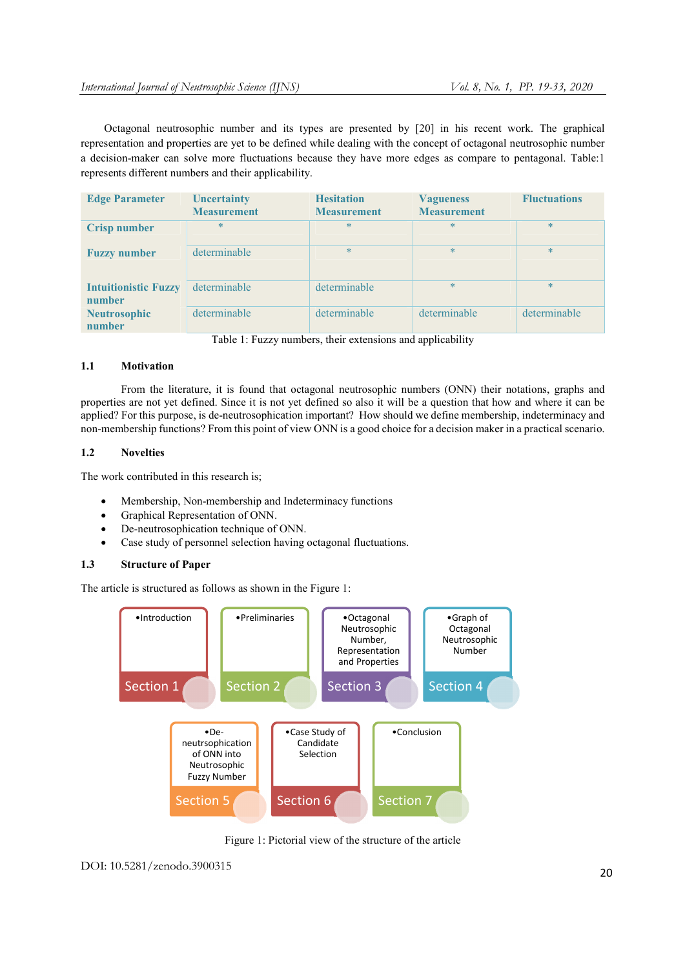Octagonal neutrosophic number and its types are presented by [20] in his recent work. The graphical representation and properties are yet to be defined while dealing with the concept of octagonal neutrosophic number a decision-maker can solve more fluctuations because they have more edges as compare to pentagonal. Table:1 represents different numbers and their applicability.

| <b>Edge Parameter</b>                 | <b>Uncertainty</b><br><b>Measurement</b> | <b>Hesitation</b><br><b>Measurement</b> | <b>Vagueness</b><br><b>Measurement</b> | <b>Fluctuations</b> |
|---------------------------------------|------------------------------------------|-----------------------------------------|----------------------------------------|---------------------|
| <b>Crisp number</b>                   | $\ast$                                   | $*$                                     | $\ast$                                 | $\ast$              |
| <b>Fuzzy number</b>                   | determinable                             | $*$                                     | $\ast$                                 | $\ast$              |
| <b>Intuitionistic Fuzzy</b><br>number | determinable                             | determinable                            | $\ast$                                 | $\ast$              |
| <b>Neutrosophic</b><br>number         | determinable                             | determinable                            | determinable                           | determinable        |

Table 1: Fuzzy numbers, their extensions and applicability

# 1.1 Motivation

From the literature, it is found that octagonal neutrosophic numbers (ONN) their notations, graphs and properties are not yet defined. Since it is not yet defined so also it will be a question that how and where it can be applied? For this purpose, is de-neutrosophication important? How should we define membership, indeterminacy and non-membership functions? From this point of view ONN is a good choice for a decision maker in a practical scenario.

# 1.2 Novelties

The work contributed in this research is;

- Membership, Non-membership and Indeterminacy functions
- Graphical Representation of ONN.
- De-neutrosophication technique of ONN.
- Case study of personnel selection having octagonal fluctuations.

# 1.3 Structure of Paper

The article is structured as follows as shown in the Figure 1:



Figure 1: Pictorial view of the structure of the article

DOI: 10.5281/zenodo.3900315 20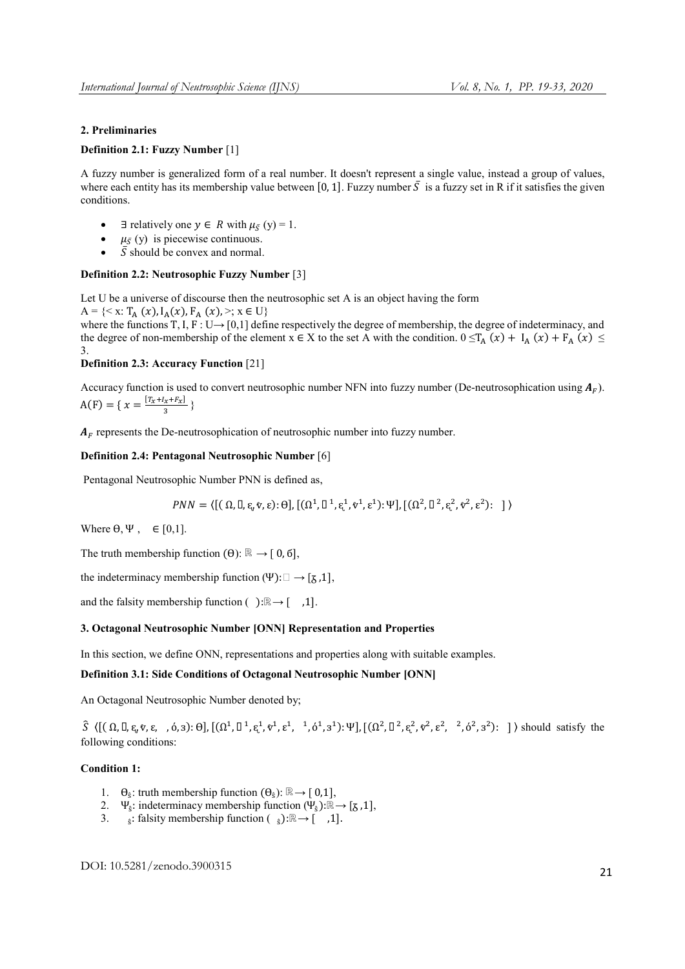# 2. Preliminaries

# Definition 2.1: Fuzzy Number [1]

A fuzzy number is generalized form of a real number. It doesn't represent a single value, instead a group of values, where each entity has its membership value between [0, 1]. Fuzzy number  $\overline{S}$  is a fuzzy set in R if it satisfies the given conditions.

- $\exists$  relatively one  $y \in R$  with  $\mu_{\bar{S}}(y) = 1$ .
- $\mu_{\bar{S}}$  (y) is piecewise continuous.
- $\overline{S}$  should be convex and normal.

#### Definition 2.2: Neutrosophic Fuzzy Number [3]

Let U be a universe of discourse then the neutrosophic set A is an object having the form A =  $\{<\mathbf{x}: \mathbf{T}_{A}(x),\mathbf{I}_{A}(x), \mathbf{F}_{A}(x), >; \mathbf{x} \in \mathbf{U}\}\$ 

where the functions T, I, F : U $\rightarrow$  [0,1] define respectively the degree of membership, the degree of indeterminacy, and the degree of non-membership of the element  $x \in X$  to the set A with the condition.  $0 \leq T_A(x) + I_A(x) + F_A(x) \leq$ 3.

# Definition 2.3: Accuracy Function [21]

Accuracy function is used to convert neutrosophic number NFN into fuzzy number (De-neutrosophication using  $A_F$ ).  $A(F) = \{ x = \frac{[T_x + I_x + F_x]}{3} \}$ 

 $A_F$  represents the De-neutrosophication of neutrosophic number into fuzzy number.

#### Definition 2.4: Pentagonal Neutrosophic Number [6]

Pentagonal Neutrosophic Number PNN is defined as,

$$
PNN = \langle [(\Omega, \mathbb{I}, \varepsilon_v \hat{v}, \varepsilon): \theta], [(\Omega^1, \mathbb{I}^1, \varepsilon_v^1, \hat{v}^1, \varepsilon^1): \Psi], [(\Omega^2, \mathbb{I}^2, \varepsilon_v^2, \hat{v}^2, \varepsilon^2): \ ] \rangle
$$

Where  $\theta$ ,  $\Psi$ ,  $\in [0,1]$ .

The truth membership function  $(\theta)$ : ℝ → [ 0, 6],

the indeterminacy membership function (Ψ):  $\Box \rightarrow [\chi, 1]$ ,

and the falsity membership function ( ):ℝ→ [ ,1].

#### 3. Octagonal Neutrosophic Number [ONN] Representation and Properties

In this section, we define ONN, representations and properties along with suitable examples.

### Definition 3.1: Side Conditions of Octagonal Neutrosophic Number [ONN]

An Octagonal Neutrosophic Number denoted by;

 〈[( Ω, , ᶓ, ⱴ, ε, , ό, з): Ө],[(Ω, , ᶓ, ⱴ, ε, , ό, з):Ψ],[(Ω, , ᶓ, ⱴ, ε, , ό, з): ] 〉 should satisfy the following conditions:

### Condition 1:

- 1.  $\Theta_{\hat{\epsilon}}$ : truth membership function  $(\Theta_{\hat{\epsilon}})$ : ℝ $\rightarrow$  [ 0,1],
- 2. Ψ<sub>ŝ</sub>: indeterminacy membership function (Ψ<sub>ŝ</sub>):ℝ→ [ $\bar{g}$ ,1],
- 3. §: falsity membership function ( §):ℝ→ [ ,1].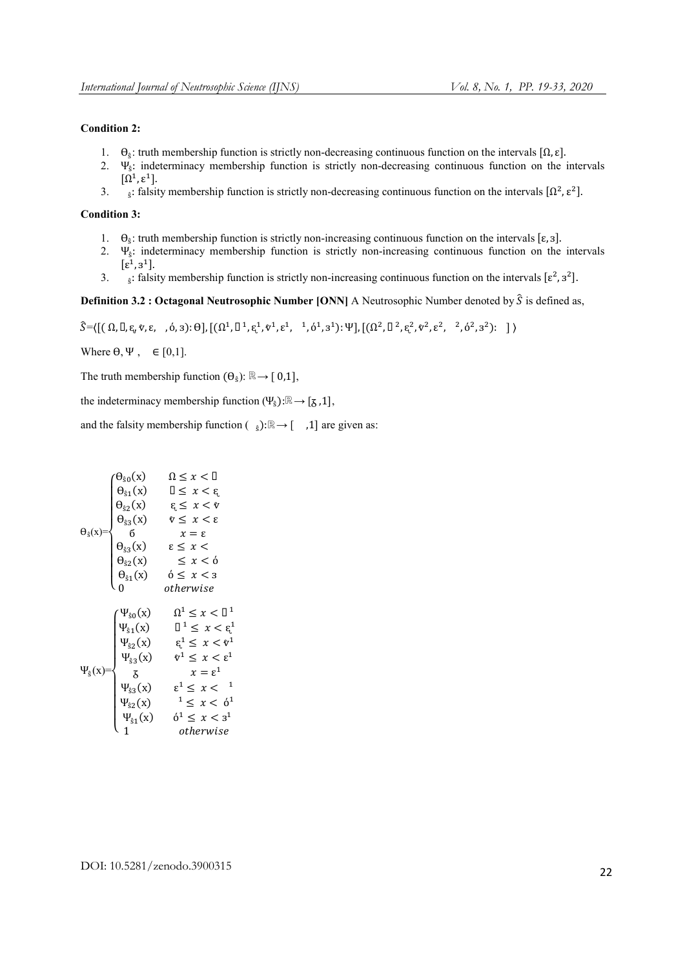# Condition 2:

- 1.  $\Theta_{\delta}$ : truth membership function is strictly non-decreasing continuous function on the intervals [Ω, ε].
- 2. Ψŝ: indeterminacy membership function is strictly non-decreasing continuous function on the intervals  $[\Omega^1, \varepsilon^1]$ .
- 3. s: falsity membership function is strictly non-decreasing continuous function on the intervals  $[\Omega^2, \varepsilon^2]$ .

#### Condition 3:

- 1. Өŝ: truth membership function is strictly non-increasing continuous function on the intervals [ε, з].
- 2. Ψŝ: indeterminacy membership function is strictly non-increasing continuous function on the intervals  $[\epsilon^1, 3^1]$ .
- 3. s: falsity membership function is strictly non-increasing continuous function on the intervals  $[\epsilon^2, \epsilon^2]$ .

Definition 3.2 : Octagonal Neutrosophic Number [ONN] A Neutrosophic Number denoted by  $\hat{S}$  is defined as,

 $\hat{S} = \left( \left[ (\Omega, \Pi, \xi, \hat{v}, \xi, \eta, \phi, 3); \Theta \right], \left[ (\Omega^1, \Pi^1, \xi^1, \hat{v}^1, \xi^1, \eta, \phi^1, 3^1); \Psi \right], \left[ (\Omega^2, \Pi^2, \xi^2, \hat{v}^2, \xi^2, \eta, \phi^2, 3^2); \right] \right)$ 

Where  $\theta$ ,  $\Psi$ ,  $\in [0,1]$ .

The truth membership function  $(\Theta_{\hat{s}})$ : ℝ $\rightarrow$  [ 0,1],

the indeterminacy membership function (Ψ§):ℝ→ [ $\overline{\phantom{a}}$ , 1],

and the falsity membership function  $\begin{pmatrix} 0 \\ 0 \end{pmatrix}$ :ℝ→ [ ,1] are given as:

$$
\theta_{s0}(x) = \begin{cases}\n\theta_{s0}(x) & \Omega \le x < \Omega \\
\theta_{s1}(x) & \Omega \le x < \varepsilon \\
\theta_{s2}(x) & \varepsilon \le x < \nu \\
6 & x = \varepsilon \\
\theta_{s3}(x) & \varepsilon \le x < \varepsilon \\
\theta_{s2}(x) &\le x < \delta \\
\theta_{s1}(x) & \delta \le x < 3 \\
0 & otherwise\n\end{cases}
$$
\n
$$
\Psi_{s1}(x) = \begin{cases}\n\Psi_{s0}(x) & \Omega^1 \le x < \Omega^1 \\
\Psi_{s1}(x) & \Omega^1 \le x < \varepsilon^1 \\
\Psi_{s2}(x) & \varepsilon^1 \le x < \varepsilon^1 \\
\Psi_{s3}(x) & \nu^1 \le x < \varepsilon^1 \\
\Psi_{s3}(x) & \nu^1 \le x < \varepsilon^1 \\
\Psi_{s2}(x) < \varepsilon^1 \le x < \varepsilon^1 \\
\Psi_{s3}(x) & \varepsilon^1 \le x < \varepsilon^1 \\
\Psi_{s1}(x) & \delta^1 \le x < \delta^1 \\
\Psi_{s1}(x) & \delta^1 \le x < \delta^1\n\end{cases}
$$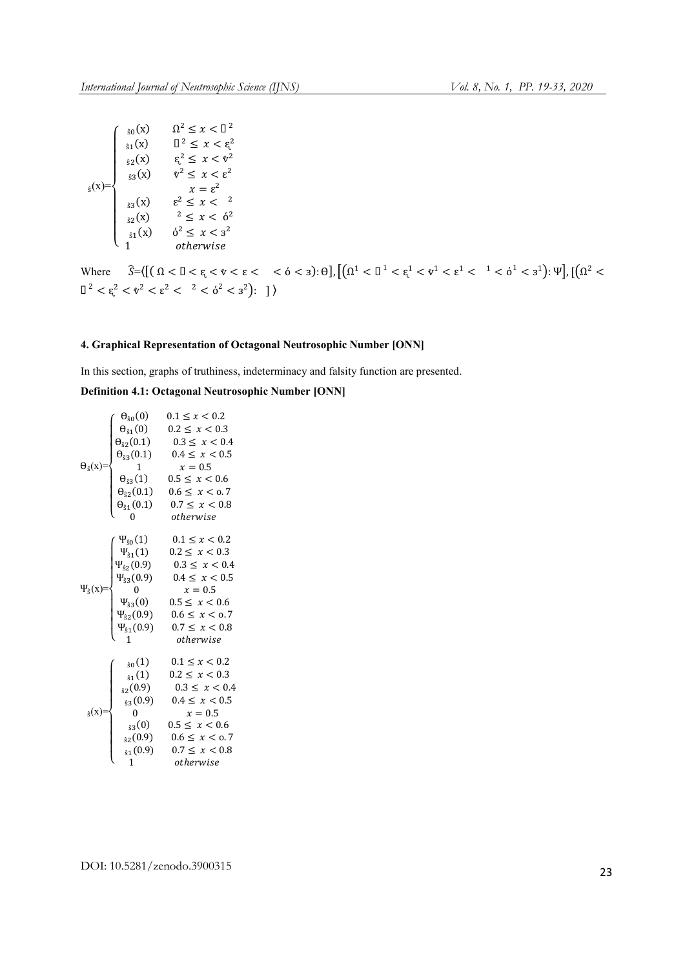| $_{\hat{S}}(x)=$<br>$x = \varepsilon^2$<br>$\epsilon^2 \leq x < \epsilon^2$<br>$_{33}(x)$<br>$x^2 \leq x < 6^2$<br>$_{32}(x)$<br>$6^2 \leq x < 3^2$<br>$_{\hat{S}1}(x)$<br>otherwise |  | $_{80}(x)$<br>$_{\hat{S}1}(x)$<br>$_{32}(x)$<br>$_{33}(x)$ | $\Omega^2 \leq x < \mathbb{D}^2$<br>$\mathbb{I}^2 \leq x < \xi^2$<br>$\xi^2 \leq x < \nu^2$<br>$\ell^2 \leq x < \epsilon^2$ |
|--------------------------------------------------------------------------------------------------------------------------------------------------------------------------------------|--|------------------------------------------------------------|-----------------------------------------------------------------------------------------------------------------------------|
|--------------------------------------------------------------------------------------------------------------------------------------------------------------------------------------|--|------------------------------------------------------------|-----------------------------------------------------------------------------------------------------------------------------|

Where  $\hat{S} = \langle [(\Omega < \mathbb{I} < \varepsilon < \varepsilon < \varepsilon < \varepsilon < \varepsilon \rangle : \theta], \left[ (\Omega^1 < \mathbb{I}^1 < \varepsilon^1 < \varepsilon^1 < \varepsilon^1 < \varepsilon^1 < \varepsilon^1 < \varepsilon^1 \right) : \Psi \right], \left[ (\Omega^2 < \varepsilon^1 < \varepsilon^1 < \varepsilon^1 < \varepsilon^1 < \varepsilon^1 \right] \rangle$  $\Box^2 < \varepsilon^2 < \nu^2 < \varepsilon^2 < \Box^2 < \delta^2 < \varepsilon^2$ ): ]

# 4. Graphical Representation of Octagonal Neutrosophic Number [ONN]

In this section, graphs of truthiness, indeterminacy and falsity function are presented.

# Definition 4.1: Octagonal Neutrosophic Number [ONN]

|                         | $\theta_{\hat{\epsilon}_0}(0)$         | $0.1 \le x < 0.2$   |
|-------------------------|----------------------------------------|---------------------|
|                         | $\Theta_{\hat{s}1}(0)$                 | $0.2 \leq x < 0.3$  |
|                         | $\theta_{\hat{S}2}(0.1)$               | $0.3 \leq x < 0.4$  |
|                         | $\Theta_{\hat{S}3}(0.1)$               | $0.4 \leq x < 0.5$  |
| $\Theta_{\hat{s}}(x)$ = | $\overline{1}$                         | $x=0.5$             |
|                         | $\Theta_{\hat{S}3}(1)$                 | $0.5 \leq x < 0.6$  |
|                         | $\theta_{\hat{S}2}(0.1)$               | $0.6 \le x < 0.7$   |
|                         | $\Theta_{\$1}(0.1)$                    | $0.7 \leq x < 0.8$  |
|                         | $\overline{0}$                         | otherwise           |
|                         | $\cdot \Psi_{\hat{s}0}(1)$             | $0.1 \leq x < 0.2$  |
|                         | $\Psi_{\hat{s}1}(1)$                   | $0.2 \leq x < 0.3$  |
|                         | $\Psi_{\hat{S}2}(0.9)$                 | $0.3 \leq x < 0.4$  |
|                         | $\Psi_{\hat{S}3}(0.9)$                 | $0.4 \leq x < 0.5$  |
| $\Psi_{\hat{S}}(x)$     | $\begin{array}{ccc} & & 0 \end{array}$ | $x=0.5$             |
|                         | $\Psi_{\hat{S}3}(0)$                   | $0.5 \leq x < 0.6$  |
|                         | $\Psi_{\hat{S}2}(0.9)$                 | $0.6 \le x \le 0.7$ |
|                         | $\Psi_{\$1}(0.9)$                      | $0.7 \leq x < 0.8$  |
|                         | $\mathbf{1}$                           | otherwise           |
|                         | $_{60}(1)$                             | $0.1 \leq x < 0.2$  |
|                         | $_{\hat{S}1}(1)$                       | $0.2 \leq x < 0.3$  |
|                         | $_{32}(0.9)$                           | $0.3 \leq x < 0.4$  |
|                         | $_{33}(0.9)$                           | $0.4 \leq x < 0.5$  |
| $_{\hat{S}}(x)$ =       | $\mathbf{0}$                           | $x=0.5$             |
|                         | $_{33}(0)$                             | $0.5 \leq x < 0.6$  |
|                         | $_{32}(0.9)$                           | $0.6 \le x < 0.7$   |
|                         | $_{\hat{S}1}(0.9)$                     | $0.7 \leq x < 0.8$  |
|                         | $1 \quad$                              | otherwise           |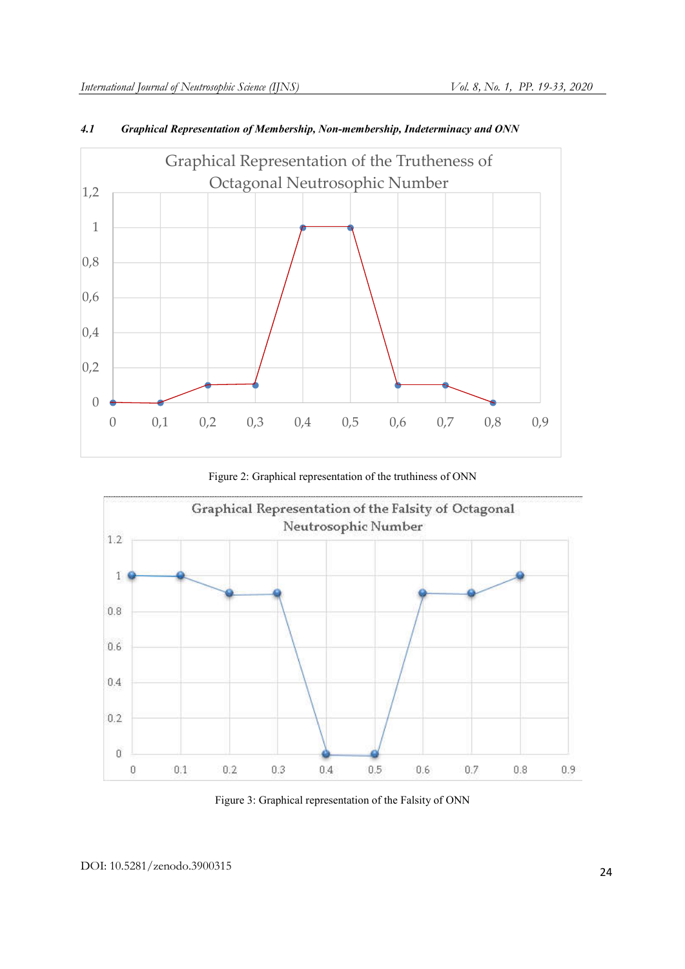

# *4.1 Graphical Representation of Membership, Non-membership, Indeterminacy and ONN*

Figure 2: Graphical representation of the truthiness of ONN



Figure 3: Graphical representation of the Falsity of ONN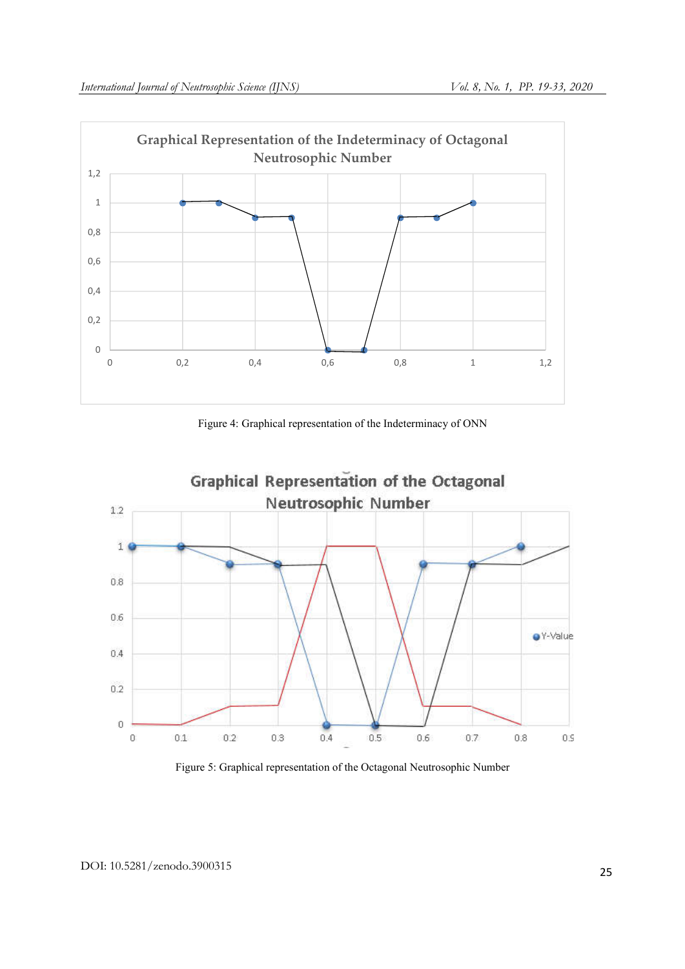

Figure 4: Graphical representation of the Indeterminacy of ONN



Figure 5: Graphical representation of the Octagonal Neutrosophic Number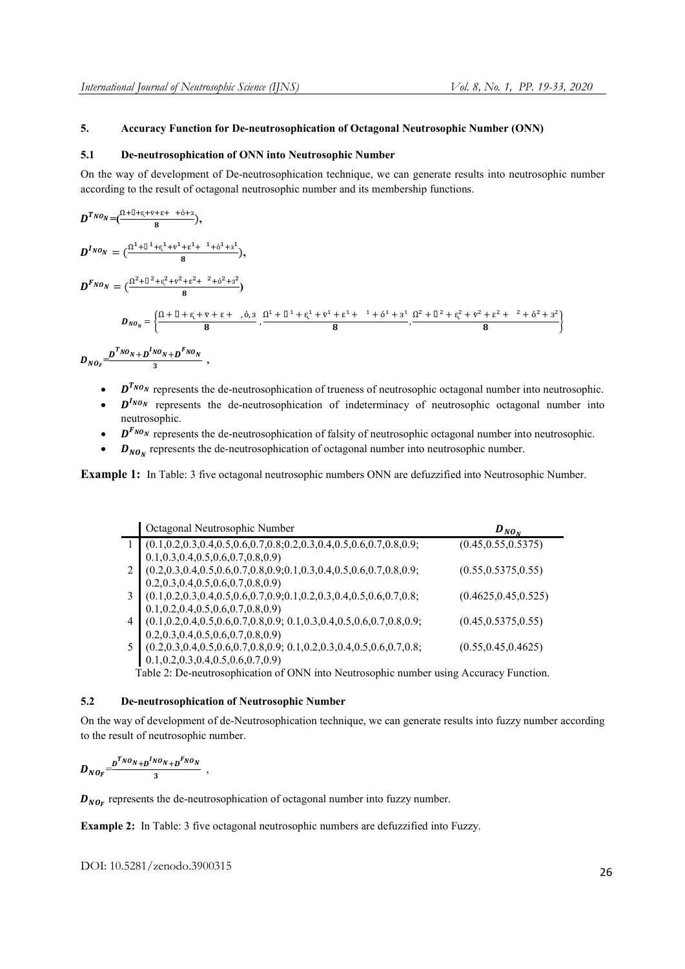# 5. Accuracy Function for De-neutrosophication of Octagonal Neutrosophic Number (ONN)

#### 5.1 De-neutrosophication of ONN into Neutrosophic Number

On the way of development of De-neutrosophication technique, we can generate results into neutrosophic number according to the result of octagonal neutrosophic number and its membership functions.

$$
D^{T_{NO_N}}=(\frac{\Omega+\square+\epsilon+\nu+\epsilon+\lambda+\gamma+\delta+\beta}{8}),
$$

 $D^{I_{NO_N}} = \left( \frac{\Omega^1 + \square^1 + \epsilon^1 + \gamma^1 + \epsilon^1 + 1 + \delta^1 + 3^1}{8} \right),$ 

 $D^{F_{NO_N}} = (\frac{\Omega^2 + \Pi^2 + \varepsilon^2 + \nu^2 + \varepsilon^2 + 2 + 6^2 + 3^2}{8})$ 

$$
D_{NO_N} = \left\{ \frac{\Omega + \Pi + \varepsilon + \nu + \varepsilon + \ldots + \varepsilon}{8}, \frac{\Omega^1 + \Pi^1 + \varepsilon^1 + \nu^1 + \varepsilon^1 + \ldots + \varepsilon^1 + \varepsilon^1 + \varepsilon^2 + \varepsilon^2 + \varepsilon^2 + \varepsilon^2 + \varepsilon^2 + \varepsilon^2 + \varepsilon^2 + \varepsilon^2 + 3^2}{8} \right\}
$$
  

$$
D_{NO_F} = \frac{D^T N O_N + D^T N O_N + D^F N O_N}{3},
$$

- $D^{T_{N_{O_N}}}$  represents the de-neutrosophication of trueness of neutrosophic octagonal number into neutrosophic.
- $D^{I_{N0_N}}$  represents the de-neutrosophication of indeterminacy of neutrosophic octagonal number into neutrosophic.
- $D^{F_{N0_N}}$  represents the de-neutrosophication of falsity of neutrosophic octagonal number into neutrosophic.
- $D_{NO<sub>N</sub>}$  represents the de-neutrosophication of octagonal number into neutrosophic number.

Example 1: In Table: 3 five octagonal neutrosophic numbers ONN are defuzzified into Neutrosophic Number.

| Octagonal Neutrosophic Number                                                      | $D_{NO_N}$            |
|------------------------------------------------------------------------------------|-----------------------|
| $(0.1, 0.2, 0.3, 0.4, 0.5, 0.6, 0.7, 0.8, 0.2, 0.3, 0.4, 0.5, 0.6, 0.7, 0.8, 0.9;$ | (0.45, 0.55, 0.5375)  |
| $0.1, 0.3, 0.4, 0.5, 0.6, 0.7, 0.8, 0.9$                                           |                       |
| $(0.2, 0.3, 0.4, 0.5, 0.6, 0.7, 0.8, 0.9, 0.1, 0.3, 0.4, 0.5, 0.6, 0.7, 0.8, 0.9;$ | (0.55, 0.5375, 0.55)  |
| $0.2, 0.3, 0.4, 0.5, 0.6, 0.7, 0.8, 0.9$                                           |                       |
| $(0.1, 0.2, 0.3, 0.4, 0.5, 0.6, 0.7, 0.9, 0.1, 0.2, 0.3, 0.4, 0.5, 0.6, 0.7, 0.8;$ | (0.4625, 0.45, 0.525) |
| $0.1, 0.2, 0.4, 0.5, 0.6, 0.7, 0.8, 0.9$                                           |                       |
| $(0.1, 0.2, 0.4, 0.5, 0.6, 0.7, 0.8, 0.9, 0.1, 0.3, 0.4, 0.5, 0.6, 0.7, 0.8, 0.9,$ | (0.45, 0.5375, 0.55)  |
| $0.2, 0.3, 0.4, 0.5, 0.6, 0.7, 0.8, 0.9$                                           |                       |
| $(0.2, 0.3, 0.4, 0.5, 0.6, 0.7, 0.8, 0.9, 0.1, 0.2, 0.3, 0.4, 0.5, 0.6, 0.7, 0.8)$ | (0.55, 0.45, 0.4625)  |
| $0.1, 0.2, 0.3, 0.4, 0.5, 0.6, 0.7, 0.9$                                           |                       |

Table 2: De-neutrosophication of ONN into Neutrosophic number using Accuracy Function.

# 5.2 De-neutrosophication of Neutrosophic Number

On the way of development of de-Neutrosophication technique, we can generate results into fuzzy number according to the result of neutrosophic number.

 $D_{NO_F} = \frac{D^{T_{NO_N}} + D^{T_{NO_N}} + D^{F_{NO_N}}}{3}$ 

 $D_{NO_F}$  represents the de-neutrosophication of octagonal number into fuzzy number.

Example 2: In Table: 3 five octagonal neutrosophic numbers are defuzzified into Fuzzy.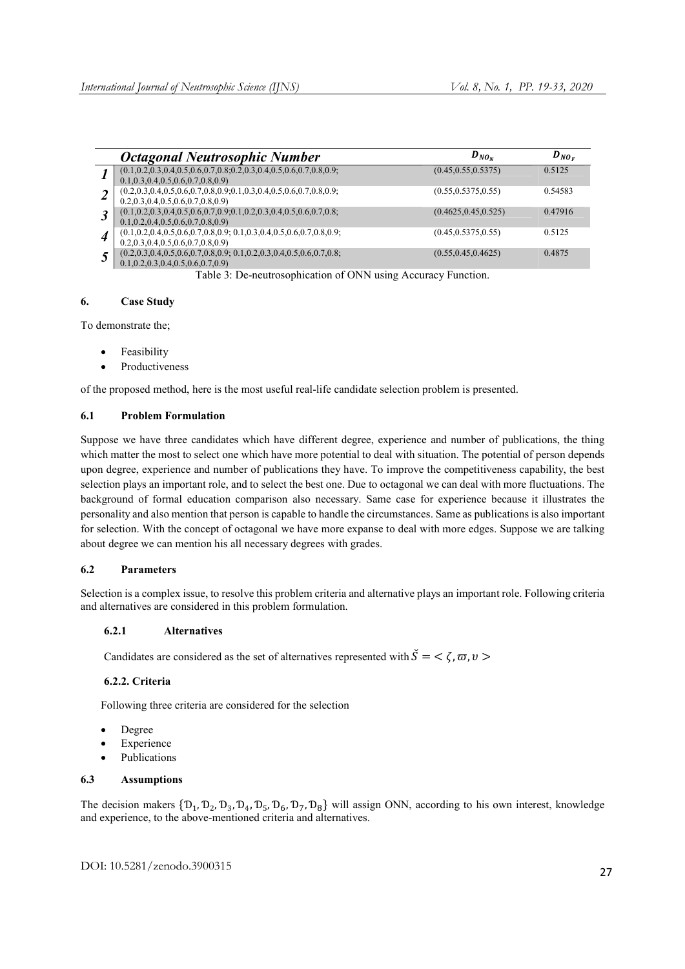|                      | Octagonal Neutrosophic Number                                                                                                  | $D_{NO_N}$            | $D_{NO_F}$ |
|----------------------|--------------------------------------------------------------------------------------------------------------------------------|-----------------------|------------|
|                      | $(0.1, 0.2, 0.3, 0.4, 0.5, 0.6, 0.7, 0.8, 0.2, 0.3, 0.4, 0.5, 0.6, 0.7, 0.8, 0.9;$<br>$0.1, 0.3, 0.4, 0.5, 0.6, 0.7, 0.8, 0.9$ | (0.45, 0.55, 0.5375)  | 0.5125     |
| $\overline{2}$       | $(0.2, 0.3, 0.4, 0.5, 0.6, 0.7, 0.8, 0.9, 0.1, 0.3, 0.4, 0.5, 0.6, 0.7, 0.8, 0.9,$<br>$0.2, 0.3, 0.4, 0.5, 0.6, 0.7, 0.8, 0.9$ | (0.55, 0.5375, 0.55)  | 0.54583    |
| $\boldsymbol{\beta}$ | $(0.1, 0.2, 0.3, 0.4, 0.5, 0.6, 0.7, 0.9, 0.1, 0.2, 0.3, 0.4, 0.5, 0.6, 0.7, 0.8)$<br>$0.1, 0.2, 0.4, 0.5, 0.6, 0.7, 0.8, 0.9$ | (0.4625, 0.45, 0.525) | 0.47916    |
| 4                    | $(0.1, 0.2, 0.4, 0.5, 0.6, 0.7, 0.8, 0.9; 0.1, 0.3, 0.4, 0.5, 0.6, 0.7, 0.8, 0.9;$<br>$0.2, 0.3, 0.4, 0.5, 0.6, 0.7, 0.8, 0.9$ | (0.45, 0.5375, 0.55)  | 0.5125     |
| 5                    | $(0.2, 0.3, 0.4, 0.5, 0.6, 0.7, 0.8, 0.9, 0.1, 0.2, 0.3, 0.4, 0.5, 0.6, 0.7, 0.8,$<br>$0.1, 0.2, 0.3, 0.4, 0.5, 0.6, 0.7, 0.9$ | (0.55, 0.45, 0.4625)  | 0.4875     |

Table 3: De-neutrosophication of ONN using Accuracy Function.

# 6. Case Study

To demonstrate the;

- Feasibility
- Productiveness

of the proposed method, here is the most useful real-life candidate selection problem is presented.

#### 6.1 Problem Formulation

Suppose we have three candidates which have different degree, experience and number of publications, the thing which matter the most to select one which have more potential to deal with situation. The potential of person depends upon degree, experience and number of publications they have. To improve the competitiveness capability, the best selection plays an important role, and to select the best one. Due to octagonal we can deal with more fluctuations. The background of formal education comparison also necessary. Same case for experience because it illustrates the personality and also mention that person is capable to handle the circumstances. Same as publications is also important for selection. With the concept of octagonal we have more expanse to deal with more edges. Suppose we are talking about degree we can mention his all necessary degrees with grades.

# 6.2 Parameters

Selection is a complex issue, to resolve this problem criteria and alternative plays an important role. Following criteria and alternatives are considered in this problem formulation.

# 6.2.1 Alternatives

Candidates are considered as the set of alternatives represented with  $\check{S} = \langle \zeta, \varpi, \upsilon \rangle$ 

#### 6.2.2. Criteria

Following three criteria are considered for the selection

- Degree
- Experience
- Publications

# 6.3 Assumptions

The decision makers  $\{D_1, D_2, D_3, D_4, D_5, D_6, D_7, D_8\}$  will assign ONN, according to his own interest, knowledge and experience, to the above-mentioned criteria and alternatives.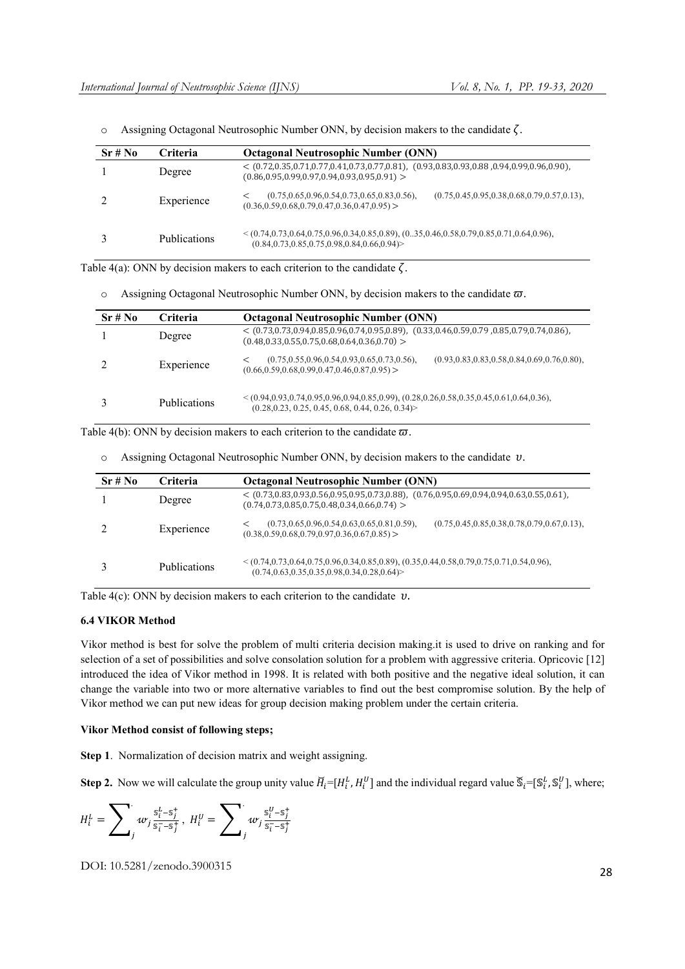| Sr#No | <b>Criteria</b>     | <b>Octagonal Neutrosophic Number (ONN)</b>                                                                                                                       |  |  |
|-------|---------------------|------------------------------------------------------------------------------------------------------------------------------------------------------------------|--|--|
|       | Degree              | $<$ (0.72,0.35,0.71,0.77,0.41,0.73,0.77,0.81), (0.93,0.83,0.93,0.88,0.94,0.99,0.96,0.90),<br>$(0.86, 0.95, 0.99, 0.97, 0.94, 0.93, 0.95, 0.91)$ >                |  |  |
|       | Experience          | $(0.75, 0.65, 0.96, 0.54, 0.73, 0.65, 0.83, 0.56),$<br>$(0.75, 0.45, 0.95, 0.38, 0.68, 0.79, 0.57, 0.13),$<br>$(0.36, 0.59, 0.68, 0.79, 0.47, 0.36, 0.47, 0.95)$ |  |  |
|       | <b>Publications</b> | $<(0.74,0.73,0.64,0.75,0.96,0.34,0.85,0.89),$ $(035,0.46,0.58,0.79,0.85,0.71,0.64,0.96),$<br>$(0.84, 0.73, 0.85, 0.75, 0.98, 0.84, 0.66, 0.94)$                  |  |  |

 $\circ$  Assigning Octagonal Neutrosophic Number ONN, by decision makers to the candidate  $\zeta$ .

Table 4(a): ONN by decision makers to each criterion to the candidate  $\zeta$ .

|  | Assigning Octagonal Neutrosophic Number ONN, by decision makers to the candidate $\varpi$ . |  |  |  |  |  |  |
|--|---------------------------------------------------------------------------------------------|--|--|--|--|--|--|
|--|---------------------------------------------------------------------------------------------|--|--|--|--|--|--|

| Sr#No | <b>Criteria</b>     | <b>Octagonal Neutrosophic Number (ONN)</b>                                                                                                                       |  |
|-------|---------------------|------------------------------------------------------------------------------------------------------------------------------------------------------------------|--|
|       | Degree              | $<$ (0.73,0.73,0.94,0.85,0.96,0.74,0.95,0.89), (0.33,0.46,0.59,0.79,0.85,0.79,0.74,0.86),<br>$(0.48, 0.33, 0.55, 0.75, 0.68, 0.64, 0.36, 0.70)$ >                |  |
|       | Experience          | $(0.75, 0.55, 0.96, 0.54, 0.93, 0.65, 0.73, 0.56),$<br>$(0.93, 0.83, 0.83, 0.58, 0.84, 0.69, 0.76, 0.80),$<br>$(0.66, 0.59, 0.68, 0.99, 0.47, 0.46, 0.87, 0.95)$ |  |
|       | <b>Publications</b> | $\leq (0.94, 0.93, 0.74, 0.95, 0.96, 0.94, 0.85, 0.99), (0.28, 0.26, 0.58, 0.35, 0.45, 0.61, 0.64, 0.36),$<br>$(0.28, 0.23, 0.25, 0.45, 0.68, 0.44, 0.26, 0.34)$ |  |

Table 4(b): ONN by decision makers to each criterion to the candidate  $\varpi$ .

 $\circ$  Assigning Octagonal Neutrosophic Number ONN, by decision makers to the candidate  $\nu$ .

| Sr#No | <b>Criteria</b>     | <b>Octagonal Neutrosophic Number (ONN)</b>                                                                                                                       |
|-------|---------------------|------------------------------------------------------------------------------------------------------------------------------------------------------------------|
|       | Degree              | $<$ (0.73,0.83,0.93,0.56,0.95,0.95,0.73,0.88), (0.76,0.95,0.69,0.94,0.94,0.63,0.55,0.61),<br>$(0.74, 0.73, 0.85, 0.75, 0.48, 0.34, 0.66, 0.74)$                  |
|       | Experience          | $(0.73, 0.65, 0.96, 0.54, 0.63, 0.65, 0.81, 0.59),$<br>$(0.75, 0.45, 0.85, 0.38, 0.78, 0.79, 0.67, 0.13),$<br>$(0.38, 0.59, 0.68, 0.79, 0.97, 0.36, 0.67, 0.85)$ |
|       | <b>Publications</b> | $\leq (0.74, 0.73, 0.64, 0.75, 0.96, 0.34, 0.85, 0.89), (0.35, 0.44, 0.58, 0.79, 0.75, 0.71, 0.54, 0.96),$<br>$(0.74, 0.63, 0.35, 0.35, 0.98, 0.34, 0.28, 0.64)$ |

Table 4(c): ONN by decision makers to each criterion to the candidate  $v$ .

#### 6.4 VIKOR Method

Vikor method is best for solve the problem of multi criteria decision making.it is used to drive on ranking and for selection of a set of possibilities and solve consolation solution for a problem with aggressive criteria. Opricovic [12] introduced the idea of Vikor method in 1998. It is related with both positive and the negative ideal solution, it can change the variable into two or more alternative variables to find out the best compromise solution. By the help of Vikor method we can put new ideas for group decision making problem under the certain criteria.

#### Vikor Method consist of following steps;

Step 1. Normalization of decision matrix and weight assigning.

**Step 2.** Now we will calculate the group unity value  $H_i=[H_i^L, H_i^U]$  and the individual regard value  $\mathbb{S}_i=[\mathbb{S}_i^L, \mathbb{S}_i^U]$ , where;

$$
H_i^L = \sum_j w_j \frac{s_i^L - s_j^+}{s_i^- - s_j^+}, \ H_i^U = \sum_j w_j \frac{s_i^U - s_j^+}{s_i^- - s_j^+}
$$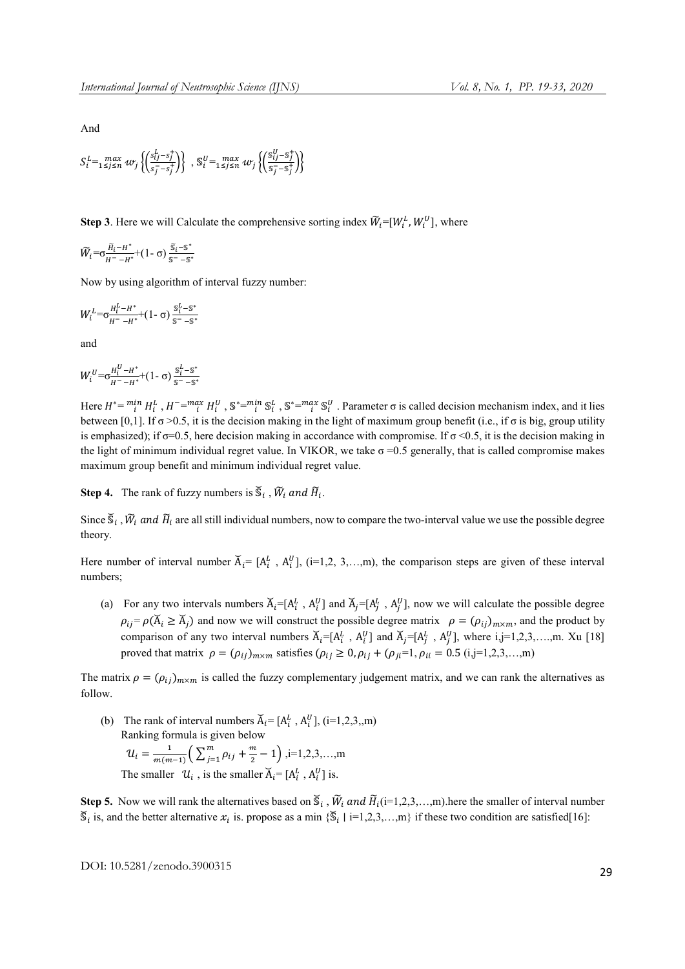And

$$
S_i^L = \max_{1 \le j \le n} w_j \left\{ \left( \frac{s_{ij}^L - s_j^+}{s_j^- - s_j^+} \right) \right\}, \, \mathbb{S}_i^U = \max_{1 \le j \le n} w_j \left\{ \left( \frac{s_{ij}^U - s_j^+}{s_j^- - s_j^+} \right) \right\}
$$

**Step 3**. Here we will Calculate the comprehensive sorting index  $\widetilde{W}_i = [W_i^L, W_i^U]$ , where

 $\widetilde{W}_{i} = \sigma \frac{H_{i} - H^{*}}{H^{*} - H^{*}} + (1 - \sigma) \frac{\widetilde{s}_{i} - S^{*}}{S^{*} - S^{*}}$ 

Now by using algorithm of interval fuzzy number:

$$
W_i^L = \sigma_{\overline{H}^- - H^*}^{\overline{H}^L - H^*} + (1 - \sigma) \frac{S_i^L - S^*}{S^- - S^*}
$$

and

$$
W_i^U = \sigma \frac{H_i^U - H^*}{H^2 - H^*} + (1 - \sigma) \frac{S_i^L - S^*}{S^2 - S^*}
$$

Here  $H^* = \int_i^{m} H_i^L$ ,  $H^- = \int_i^{m} H_i^U$ ,  $\int_i^{m} H_i^U$ ,  $\int_i^{m} H_i^U$ ,  $\int_i^{m} H_i^U$ ,  $\int_i^{m} H_i^U$ ,  $\int_i^{m} H_i^U$ ,  $\int_i^{m} H_i^U$ ,  $\int_i^{m} H_i^U$ ,  $\int_i^{m} H_i^U$ ,  $\int_i^{m} H_i^U$ ,  $\int_i^{m} H_i^U$ ,  $\int_i^{m} H_i^U$ ,  $\int_i^{m} H_i^U$ ,  $\int_i^{m} H_i^U$ , between [0,1]. If  $\sigma > 0.5$ , it is the decision making in the light of maximum group benefit (i.e., if  $\sigma$  is big, group utility is emphasized); if  $\sigma$ =0.5, here decision making in accordance with compromise. If  $\sigma$  <0.5, it is the decision making in the light of minimum individual regret value. In VIKOR, we take  $\sigma = 0.5$  generally, that is called compromise makes maximum group benefit and minimum individual regret value.

**Step 4.** The rank of fuzzy numbers is  $\mathcal{S}_i$ ,  $\tilde{W}_i$  and  $\tilde{H}_i$ .

Since  $\mathcal{S}_i$ ,  $\tilde{W}_i$  and  $\tilde{H}_i$  are all still individual numbers, now to compare the two-interval value we use the possible degree theory.

Here number of interval number  $\overline{A}_i = [A_i^L, A_i^U],$  (i=1,2, 3,...,m), the comparison steps are given of these interval numbers;

(a) For any two intervals numbers  $\overline{A}_i = [A_i^L, A_i^U]$  and  $\overline{A}_j = [A_j^L, A_j^U]$ , now we will calculate the possible degree  $\rho_{ij} = \rho(\breve{A}_i \ge \breve{A}_i)$  and now we will construct the possible degree matrix  $\rho = (\rho_{ij})_{m \times m}$ , and the product by comparison of any two interval numbers  $\vec{A}_i = [A_i^L, A_i^U]$  and  $\vec{A}_j = [A_j^L, A_j^U]$ , where i,j=1,2,3,....,m. Xu [18] proved that matrix  $\rho = (\rho_{ij})_{m \times m}$  satisfies  $(\rho_{ij} \ge 0, \rho_{ij} + (\rho_{ji} = 1, \rho_{ii} = 0.5 \text{ (i,j=1,2,3,...,m)})$ 

The matrix  $\rho = (\rho_{ij})_{m \times m}$  is called the fuzzy complementary judgement matrix, and we can rank the alternatives as follow.

(b) The rank of interval numbers  $\overline{A}_i = [A_i^L, A_i^U]$ , (i=1,2,3,,m) Ranking formula is given below  $u_i = \frac{1}{m(m-1)} \left( \sum_{j=1}^m \rho_{ij} + \frac{m}{2} - 1 \right), i=1,2,3,...,m$ The smaller  $\mathcal{U}_i$ , is the smaller  $\overline{A}_i = [A_i^L, A_i^U]$  is.

Step 5. Now we will rank the alternatives based on  $\mathcal{S}_i$ ,  $\tilde{W}_i$  and  $\tilde{H}_i$  (i=1,2,3,...,m).here the smaller of interval number  $\overline{S}_i$  is, and the better alternative  $x_i$  is. propose as a min  $\{\overline{S}_i \mid i=1,2,3,...,m\}$  if these two condition are satisfied[16]: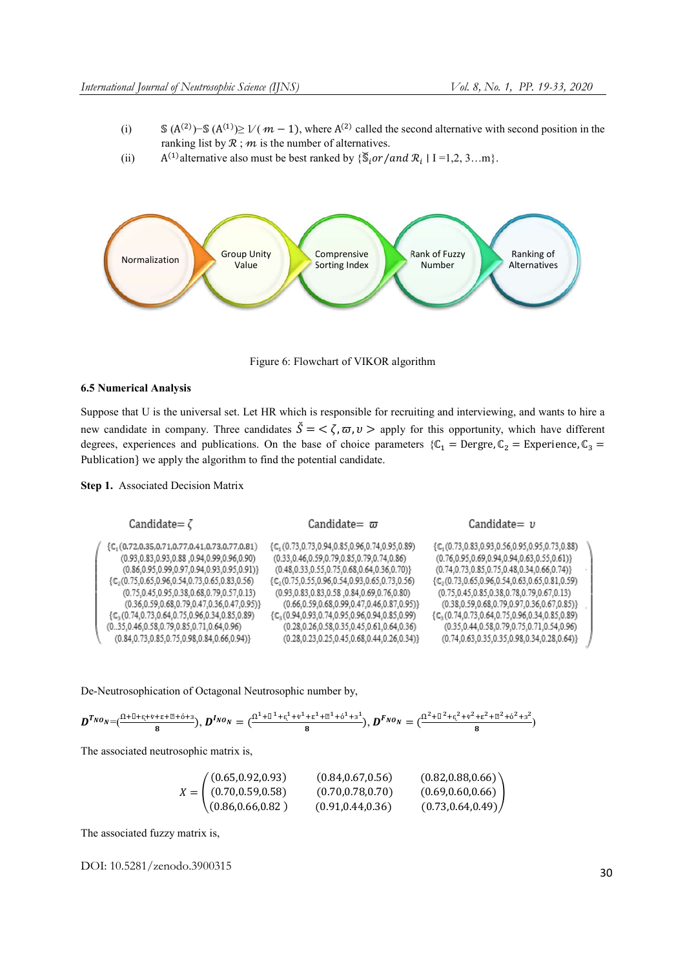- (i)  $\mathbb{S}(A^{(2)}) \mathbb{S}(A^{(1)}) \ge 1/(m-1)$ , where  $A^{(2)}$  called the second alternative with second position in the ranking list by  $\mathcal{R}$ ;  $m$  is the number of alternatives.
- (ii)  $A^{(1)}$  alternative also must be best ranked by  $\{\mathcal{S}_i \text{or}/\text{and } \mathcal{R}_i \mid I = 1, 2, 3...m\}.$



Figure 6: Flowchart of VIKOR algorithm

# 6.5 Numerical Analysis

Suppose that U is the universal set. Let HR which is responsible for recruiting and interviewing, and wants to hire a new candidate in company. Three candidates  $\check{S} = \langle \zeta, \varpi, \nu \rangle$  apply for this opportunity, which have different degrees, experiences and publications. On the base of choice parameters { $\mathbb{C}_1$  = Dergre,  $\mathbb{C}_2$  = Experience,  $\mathbb{C}_3$  = Publication} we apply the algorithm to find the potential candidate.

# Step 1. Associated Decision Matrix

| Candidate= $\zeta$                                                 | Candidate= $\varpi$                                       | Candidate $=$ $\nu$                                       |  |
|--------------------------------------------------------------------|-----------------------------------------------------------|-----------------------------------------------------------|--|
| $\{C_1(0.72, 0.35, 0.71, 0.77, 0.41, 0.73, 0.77, 0.81)\}$          | ${C1(0.73,0.73,0.94,0.85,0.96,0.74,0.95,0.89)}$           | ${C1(0.73, 0.83, 0.93, 0.56, 0.95, 0.95, 0.73, 0.88)}$    |  |
| (0.95,0.83,0.93,0.88,0.94,0.99,0.96,0.90)                          | $(0.33, 0.46, 0.59, 0.79, 0.85, 0.79, 0.74, 0.86)$        | $(0.76, 0.95, 0.69, 0.94, 0.94, 0.63, 0.55, 0.61)\}$      |  |
| $(0.86, 0.95, 0.99, 0.97, 0.94, 0.93, 0.95, 0.91)\}$               | $(0.48, 0.33, 0.55, 0.75, 0.68, 0.64, 0.36, 0.70)\}$      | $(0.74, 0.73, 0.85, 0.75, 0.48, 0.34, 0.66, 0.74)\}$      |  |
| $\{\mathbb{C}_2(0.75, 0.65, 0.96, 0.54, 0.73, 0.65, 0.83, 0.56)\}$ | $\{C_2(0.75, 0.55, 0.96, 0.54, 0.93, 0.65, 0.73, 0.56)\}$ | $\{C_2(0.73, 0.65, 0.96, 0.54, 0.63, 0.65, 0.81, 0.59)\}$ |  |
| $(0.75, 0.45, 0.95, 0.38, 0.68, 0.79, 0.57, 0.13)$                 | $(0.93.0.83.0.83.0.58.0.84.0.69.0.76.0.80)$               | $(0.75, 0.45, 0.85, 0.38, 0.78, 0.79, 0.67, 0.13)$        |  |
| $(0.36, 0.59, 0.68, 0.79, 0.47, 0.36, 0.47, 0.95)\}$               | $(0.66, 0.59, 0.68, 0.99, 0.47, 0.46, 0.87, 0.95)\}$      | $(0.38, 0.59, 0.68, 0.79, 0.97, 0.36, 0.67, 0.85)\}$      |  |
| $\{\mathbb{C}_3(0.74, 0.73, 0.64, 0.75, 0.96, 0.34, 0.85, 0.89)$   | $\{C_3(0.94, 0.93, 0.74, 0.95, 0.96, 0.94, 0.85, 0.99)\}$ | ${Cs(0.74, 0.73, 0.64, 0.75, 0.96, 0.34, 0.85, 0.89)}$    |  |
| $(035,0.46,0.58,0.79,0.85,0.71,0.64,0.96)$                         | $(0.28, 0.26, 0.58, 0.35, 0.45, 0.61, 0.64, 0.36)$        | $(0.35, 0.44, 0.58, 0.79, 0.75, 0.71, 0.54, 0.96)$        |  |
| $(0.84, 0.73, 0.85, 0.75, 0.98, 0.84, 0.66, 0.94)\}$               | $(0.28, 0.23, 0.25, 0.45, 0.68, 0.44, 0.26, 0.34)\}$      | $(0.74, 0.63, 0.35, 0.35, 0.98, 0.34, 0.28, 0.64)\}$      |  |
|                                                                    |                                                           |                                                           |  |

De-Neutrosophication of Octagonal Neutrosophic number by,

$$
D^{T_{NO_N}}=(\frac{\Omega^{\pm\lfloor\frac{1}{2}+\epsilon\sqrt{t-\epsilon}+\frac{m}{2}+\delta+3}{3}}{8}),\ D^{I_{NO_N}}=(\frac{\Omega^{\pm\frac{1}{2}\lfloor\frac{1}{2}+\epsilon\sqrt{t-\epsilon}+\frac{m}{2}+\frac{m}{2}+\delta+3}{3}}{8}),\ D^{F_{NO_N}}=(\frac{\Omega^{\pm\frac{1}{2}\lfloor\frac{2}{2}+\epsilon\sqrt{t-\epsilon}+\frac{m}{2}+\delta^2+3}{3}}{8})
$$

The associated neutrosophic matrix is,

| (0.65, 0.92, 0.93)       | (0.84, 0.67, 0.56) | (0.82, 0.88, 0.66)     |
|--------------------------|--------------------|------------------------|
| $X = (0.70, 0.59, 0.58)$ | (0.70, 0.78, 0.70) | (0.69, 0.60, 0.66)     |
| (0.86, 0.66, 0.82)       | (0.91, 0.44, 0.36) | $(0.73, 0.64, 0.49)$ / |

The associated fuzzy matrix is,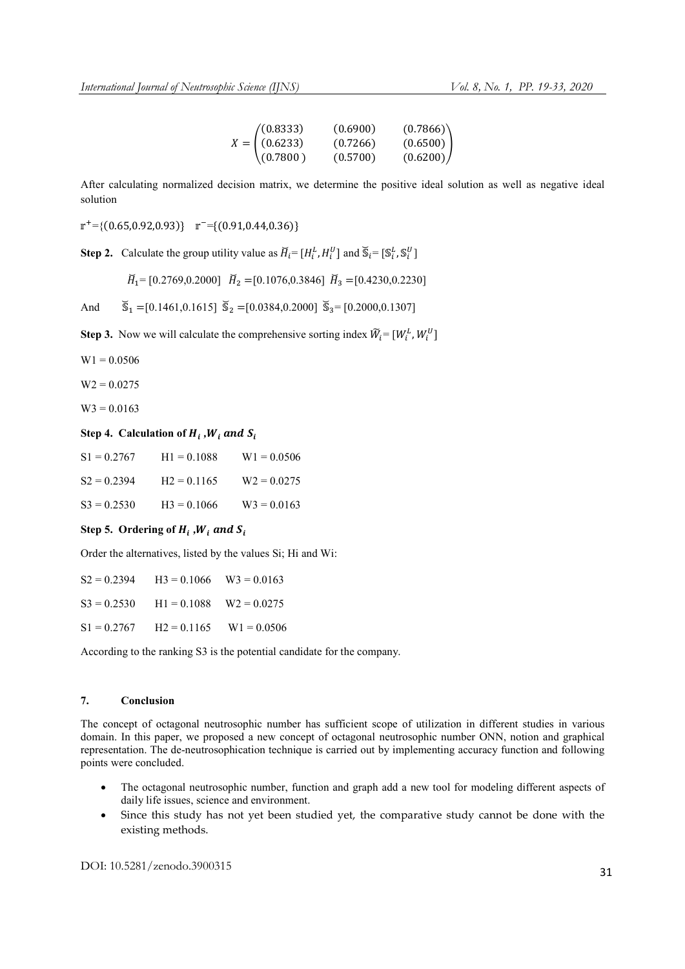| (0.8333)       | (0.6900) | (0.7866) |
|----------------|----------|----------|
| $X = (0.6233)$ | (0.7266) | (0.6500) |
| (0.7800)       | (0.5700) | (0.6200) |

After calculating normalized decision matrix, we determine the positive ideal solution as well as negative ideal solution

 $r^+={(0.65,0.92,0.93)}$   $r^-={(0.91,0.44,0.36)}$ 

**Step 2.** Calculate the group utility value as  $\overline{H}_i = [H_i^L, H_i^U]$  and  $\overline{\mathbb{S}}_i = [\mathbb{S}_i^L, \mathbb{S}_i^U]$ 

 $\breve{H}_1$  = [0.2769,0.2000]  $\breve{H}_2$  = [0.1076,0.3846]  $\breve{H}_3$  = [0.4230,0.2230]

And  $\qquad \tilde{S}_1 = [0.1461, 0.1615]$   $\tilde{S}_2 = [0.0384, 0.2000]$   $\tilde{S}_3 = [0.2000, 0.1307]$ 

**Step 3.** Now we will calculate the comprehensive sorting index  $\widetilde{W}_i = [W_i^L, W_i^U]$ 

 $W1 = 0.0506$ 

 $W2 = 0.0275$ 

 $W3 = 0.0163$ 

# Step 4. Calculation of  $H_i$ ,  $W_i$  and  $S_i$

| $S1 = 0.2767$  | $H1 = 0.1088$ | $W1 = 0.0506$ |
|----------------|---------------|---------------|
| $S2 = 0.2394$  | $H2 = 0.1165$ | $W2 = 0.0275$ |
| $S_3 = 0.2530$ | $H3 = 0.1066$ | $W3 = 0.0163$ |

#### Step 5. Ordering of  $H_i$ ,  $W_i$  and  $S_i$

Order the alternatives, listed by the values Si; Hi and Wi:

|               | $S2 = 0.2394$ $H3 = 0.1066$ $W3 = 0.0163$ |  |
|---------------|-------------------------------------------|--|
|               | $S3 = 0.2530$ $H1 = 0.1088$ $W2 = 0.0275$ |  |
| $S1 = 0.2767$ | $H2 = 0.1165$ $W1 = 0.0506$               |  |

According to the ranking S3 is the potential candidate for the company.

# 7. Conclusion

The concept of octagonal neutrosophic number has sufficient scope of utilization in different studies in various domain. In this paper, we proposed a new concept of octagonal neutrosophic number ONN, notion and graphical representation. The de-neutrosophication technique is carried out by implementing accuracy function and following points were concluded.

- The octagonal neutrosophic number, function and graph add a new tool for modeling different aspects of daily life issues, science and environment.
- Since this study has not yet been studied yet, the comparative study cannot be done with the existing methods.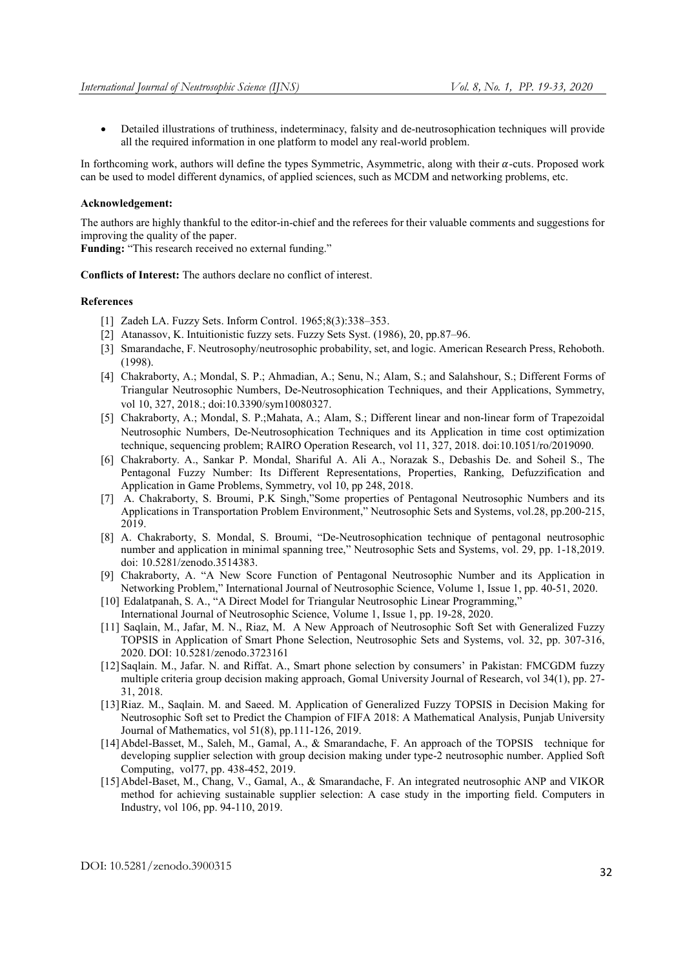Detailed illustrations of truthiness, indeterminacy, falsity and de-neutrosophication techniques will provide all the required information in one platform to model any real-world problem.

In forthcoming work, authors will define the types Symmetric, Asymmetric, along with their  $\alpha$ -cuts. Proposed work can be used to model different dynamics, of applied sciences, such as MCDM and networking problems, etc.

#### Acknowledgement:

The authors are highly thankful to the editor-in-chief and the referees for their valuable comments and suggestions for improving the quality of the paper.

Funding: "This research received no external funding."

Conflicts of Interest: The authors declare no conflict of interest.

#### References

- [1] Zadeh LA. Fuzzy Sets. Inform Control. 1965;8(3):338-353.
- [2] Atanassov, K. Intuitionistic fuzzy sets. Fuzzy Sets Syst. (1986), 20, pp.87–96.
- [3] Smarandache, F. Neutrosophy/neutrosophic probability, set, and logic. American Research Press, Rehoboth. (1998).
- [4] Chakraborty, A.; Mondal, S. P.; Ahmadian, A.; Senu, N.; Alam, S.; and Salahshour, S.; Different Forms of Triangular Neutrosophic Numbers, De-Neutrosophication Techniques, and their Applications, Symmetry, vol 10, 327, 2018.; doi:10.3390/sym10080327.
- [5] Chakraborty, A.; Mondal, S. P.;Mahata, A.; Alam, S.; Different linear and non-linear form of Trapezoidal Neutrosophic Numbers, De-Neutrosophication Techniques and its Application in time cost optimization technique, sequencing problem; RAIRO Operation Research, vol 11, 327, 2018. doi:10.1051/ro/2019090.
- [6] Chakraborty. A., Sankar P. Mondal, Shariful A. Ali A., Norazak S., Debashis De. and Soheil S., The Pentagonal Fuzzy Number: Its Different Representations, Properties, Ranking, Defuzzification and Application in Game Problems, Symmetry, vol 10, pp 248, 2018.
- [7] A. Chakraborty, S. Broumi, P.K Singh,"Some properties of Pentagonal Neutrosophic Numbers and its Applications in Transportation Problem Environment," Neutrosophic Sets and Systems, vol.28, pp.200-215, 2019.
- [8] A. Chakraborty, S. Mondal, S. Broumi, "De-Neutrosophication technique of pentagonal neutrosophic number and application in minimal spanning tree," Neutrosophic Sets and Systems, vol. 29, pp. 1-18,2019. doi: 10.5281/zenodo.3514383.
- [9] Chakraborty, A. "A New Score Function of Pentagonal Neutrosophic Number and its Application in Networking Problem," International Journal of Neutrosophic Science, Volume 1, Issue 1, pp. 40-51, 2020.
- [10] Edalatpanah, S. A., "A Direct Model for Triangular Neutrosophic Linear Programming." International Journal of Neutrosophic Science, Volume 1, Issue 1, pp. 19-28, 2020.
- [11] Saqlain, M., Jafar, M. N., Riaz, M. A New Approach of Neutrosophic Soft Set with Generalized Fuzzy TOPSIS in Application of Smart Phone Selection, Neutrosophic Sets and Systems, vol. 32, pp. 307-316, 2020. DOI: 10.5281/zenodo.3723161
- [12]Saqlain. M., Jafar. N. and Riffat. A., Smart phone selection by consumers' in Pakistan: FMCGDM fuzzy multiple criteria group decision making approach, Gomal University Journal of Research, vol 34(1), pp. 27- 31, 2018.
- [13]Riaz. M., Saqlain. M. and Saeed. M. Application of Generalized Fuzzy TOPSIS in Decision Making for Neutrosophic Soft set to Predict the Champion of FIFA 2018: A Mathematical Analysis, Punjab University Journal of Mathematics, vol 51(8), pp.111-126, 2019.
- [14] Abdel-Basset, M., Saleh, M., Gamal, A., & Smarandache, F. An approach of the TOPSIS technique for developing supplier selection with group decision making under type-2 neutrosophic number. Applied Soft Computing, vol77, pp. 438-452, 2019.
- [15]Abdel-Baset, M., Chang, V., Gamal, A., & Smarandache, F. An integrated neutrosophic ANP and VIKOR method for achieving sustainable supplier selection: A case study in the importing field. Computers in Industry, vol 106, pp. 94-110, 2019.